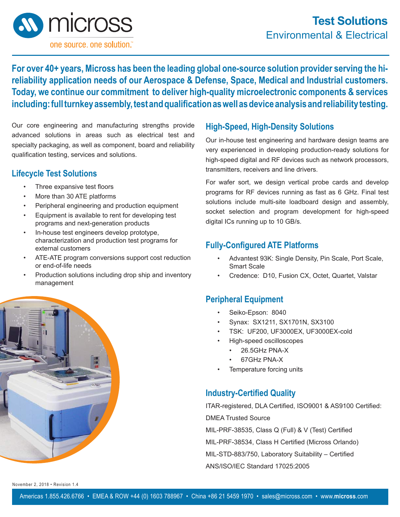

**Test Solutions** Environmental & Electrical

**For over 40+ years, Micross has been the leading global one-source solution provider serving the hireliability application needs of our Aerospace & Defense, Space, Medical and Industrial customers. Today, we continue our commitment to deliver high-quality microelectronic components & services including: full turnkey assembly, test and qualification as well as device analysis and reliability testing.**

Our core engineering and manufacturing strengths provide advanced solutions in areas such as electrical test and specialty packaging, as well as component, board and reliability qualification testing, services and solutions.

### **Lifecycle Test Solutions**

- Three expansive test floors
- More than 30 ATE platforms
- Peripheral engineering and production equipment
- Equipment is available to rent for developing test programs and next-generation products
- In-house test engineers develop prototype, characterization and production test programs for external customers
- ATE-ATE program conversions support cost reduction or end-of-life needs
- Production solutions including drop ship and inventory management

#### **High-Speed, High-Density Solutions**

Our in-house test engineering and hardware design teams are very experienced in developing production-ready solutions for high-speed digital and RF devices such as network processors, transmitters, receivers and line drivers.

For wafer sort, we design vertical probe cards and develop programs for RF devices running as fast as 6 GHz. Final test solutions include multi-site loadboard design and assembly, socket selection and program development for high-speed digital ICs running up to 10 GB/s.

# **Fully-Configured ATE Platforms**

- Advantest 93K: Single Density, Pin Scale, Port Scale, Smart Scale
- Credence: D10, Fusion CX, Octet, Quartet, Valstar

#### **Peripheral Equipment**

- Seiko-Epson: 8040
- Synax: SX1211, SX1701N, SX3100
- TSK: UF200, UF3000EX, UF3000EX-cold
- High-speed oscilloscopes
	- 26.5GHz PNA-X
	- 67GHz PNA-X
- Temperature forcing units

#### **Industry-Certified Quality**

ITAR-registered, DLA Certified, ISO9001 & AS9100 Certified: DMEA Trusted Source MIL-PRF-38535, Class Q (Full) & V (Test) Certified MIL-PRF-38534, Class H Certified (Micross Orlando) MIL-STD-883/750, Laboratory Suitability – Certified ANS/ISO/IEC Standard 17025:2005



November 2, 2018 • Revision 1.4